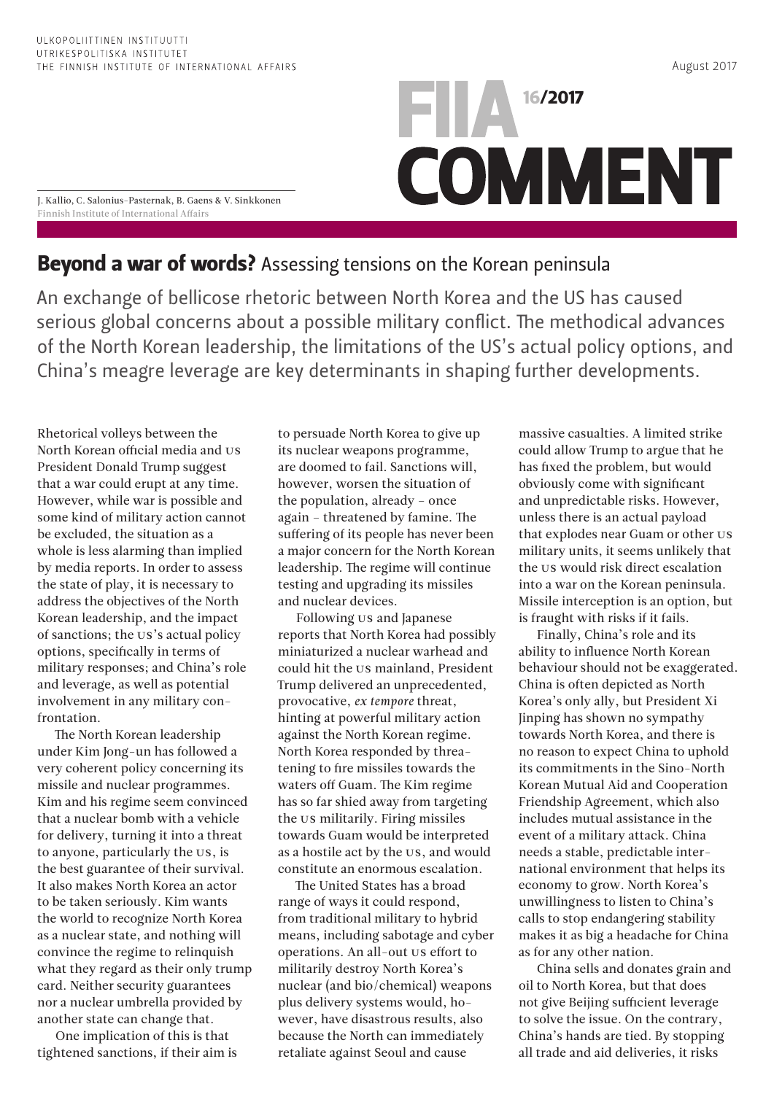August 2017

J. Kallio, C. Salonius-Pasternak, B. Gaens & V. Sinkkonen Finnish Institute of International Affairs

## Beyond a war of words? Assessing tensions on the Korean peninsula

An exchange of bellicose rhetoric between North Korea and the US has caused serious global concerns about a possible military conflict. The methodical advances of the North Korean leadership, the limitations of the US's actual policy options, and China's meagre leverage are key determinants in shaping further developments.

**16/2017** 

**COMMENT** 

Rhetorical volleys between the North Korean official media and US President Donald Trump suggest that a war could erupt at any time. However, while war is possible and some kind of military action cannot be excluded, the situation as a whole is less alarming than implied by media reports. In order to assess the state of play, it is necessary to address the objectives of the North Korean leadership, and the impact of sanctions; the US's actual policy options, specifically in terms of military responses; and China's role and leverage, as well as potential involvement in any military confrontation.

The North Korean leadership under Kim Jong-un has followed a very coherent policy concerning its missile and nuclear programmes. Kim and his regime seem convinced that a nuclear bomb with a vehicle for delivery, turning it into a threat to anyone, particularly the US, is the best guarantee of their survival. It also makes North Korea an actor to be taken seriously. Kim wants the world to recognize North Korea as a nuclear state, and nothing will convince the regime to relinquish what they regard as their only trump card. Neither security guarantees nor a nuclear umbrella provided by another state can change that.

One implication of this is that tightened sanctions, if their aim is to persuade North Korea to give up its nuclear weapons programme, are doomed to fail. Sanctions will, however, worsen the situation of the population, already – once again – threatened by famine. The suffering of its people has never been a major concern for the North Korean leadership. The regime will continue testing and upgrading its missiles and nuclear devices.

Following US and Japanese reports that North Korea had possibly miniaturized a nuclear warhead and could hit the US mainland, President Trump delivered an unprecedented, provocative, *ex tempore* threat, hinting at powerful military action against the North Korean regime. North Korea responded by threatening to fire missiles towards the waters off Guam. The Kim regime has so far shied away from targeting the US militarily. Firing missiles towards Guam would be interpreted as a hostile act by the US, and would constitute an enormous escalation.

The United States has a broad range of ways it could respond, from traditional military to hybrid means, including sabotage and cyber operations. An all-out US effort to militarily destroy North Korea's nuclear (and bio/chemical) weapons plus delivery systems would, however, have disastrous results, also because the North can immediately retaliate against Seoul and cause

massive casualties. A limited strike could allow Trump to argue that he has fixed the problem, but would obviously come with significant and unpredictable risks. However, unless there is an actual payload that explodes near Guam or other US military units, it seems unlikely that the US would risk direct escalation into a war on the Korean peninsula. Missile interception is an option, but is fraught with risks if it fails.

Finally, China's role and its ability to influence North Korean behaviour should not be exaggerated. China is often depicted as North Korea's only ally, but President Xi Jinping has shown no sympathy towards North Korea, and there is no reason to expect China to uphold its commitments in the Sino-North Korean Mutual Aid and Cooperation Friendship Agreement, which also includes mutual assistance in the event of a military attack. China needs a stable, predictable international environment that helps its economy to grow. North Korea's unwillingness to listen to China's calls to stop endangering stability makes it as big a headache for China as for any other nation.

China sells and donates grain and oil to North Korea, but that does not give Beijing sufficient leverage to solve the issue. On the contrary, China's hands are tied. By stopping all trade and aid deliveries, it risks